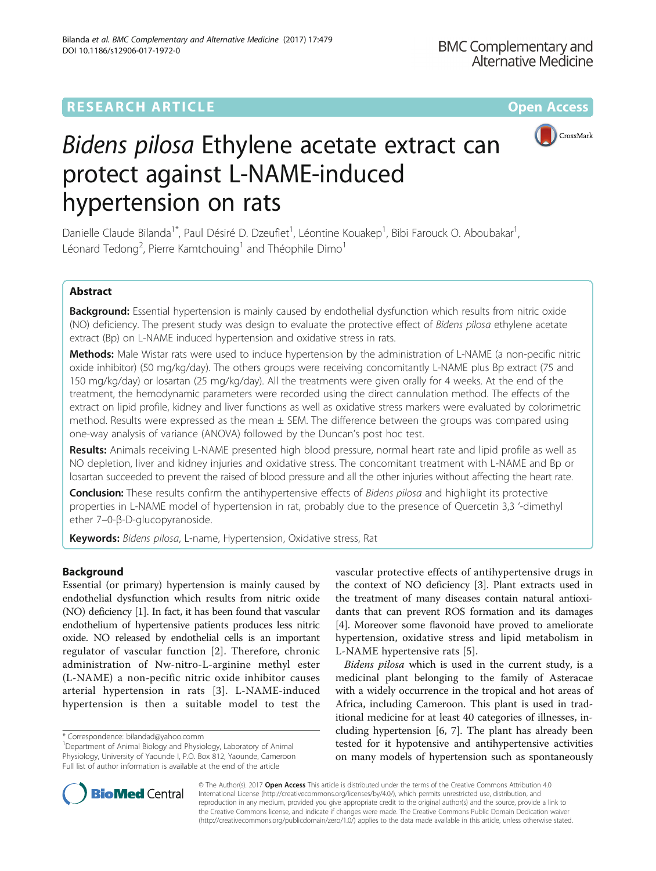# **RESEARCH ARTICLE External Structure Community Community Community Community Community Community Community Community**



# Bidens pilosa Ethylene acetate extract can protect against L-NAME-induced hypertension on rats

Danielle Claude Bilanda<sup>1\*</sup>, Paul Désiré D. Dzeufiet<sup>1</sup>, Léontine Kouakep<sup>1</sup>, Bibi Farouck O. Aboubakar<sup>1</sup> , Léonard Tedong<sup>2</sup>, Pierre Kamtchouing<sup>1</sup> and Théophile Dimo<sup>1</sup>

# Abstract

Background: Essential hypertension is mainly caused by endothelial dysfunction which results from nitric oxide (NO) deficiency. The present study was design to evaluate the protective effect of Bidens pilosa ethylene acetate extract (Bp) on L-NAME induced hypertension and oxidative stress in rats.

Methods: Male Wistar rats were used to induce hypertension by the administration of L-NAME (a non-pecific nitric oxide inhibitor) (50 mg/kg/day). The others groups were receiving concomitantly L-NAME plus Bp extract (75 and 150 mg/kg/day) or losartan (25 mg/kg/day). All the treatments were given orally for 4 weeks. At the end of the treatment, the hemodynamic parameters were recorded using the direct cannulation method. The effects of the extract on lipid profile, kidney and liver functions as well as oxidative stress markers were evaluated by colorimetric method. Results were expressed as the mean  $\pm$  SEM. The difference between the groups was compared using one-way analysis of variance (ANOVA) followed by the Duncan's post hoc test.

Results: Animals receiving L-NAME presented high blood pressure, normal heart rate and lipid profile as well as NO depletion, liver and kidney injuries and oxidative stress. The concomitant treatment with L-NAME and Bp or losartan succeeded to prevent the raised of blood pressure and all the other injuries without affecting the heart rate.

**Conclusion:** These results confirm the antihypertensive effects of Bidens pilosa and highlight its protective properties in L-NAME model of hypertension in rat, probably due to the presence of Quercetin 3,3 '-dimethyl ether 7–0-β-D-glucopyranoside.

Keywords: Bidens pilosa, L-name, Hypertension, Oxidative stress, Rat

# Background

Essential (or primary) hypertension is mainly caused by endothelial dysfunction which results from nitric oxide (NO) deficiency [\[1](#page-5-0)]. In fact, it has been found that vascular endothelium of hypertensive patients produces less nitric oxide. NO released by endothelial cells is an important regulator of vascular function [[2\]](#page-5-0). Therefore, chronic administration of Nw-nitro-L-arginine methyl ester (L-NAME) a non-pecific nitric oxide inhibitor causes arterial hypertension in rats [\[3](#page-5-0)]. L-NAME-induced hypertension is then a suitable model to test the

vascular protective effects of antihypertensive drugs in the context of NO deficiency [[3\]](#page-5-0). Plant extracts used in the treatment of many diseases contain natural antioxidants that can prevent ROS formation and its damages [[4\]](#page-5-0). Moreover some flavonoid have proved to ameliorate hypertension, oxidative stress and lipid metabolism in L-NAME hypertensive rats [\[5](#page-5-0)].

Bidens pilosa which is used in the current study, is a medicinal plant belonging to the family of Asteracae with a widely occurrence in the tropical and hot areas of Africa, including Cameroon. This plant is used in traditional medicine for at least 40 categories of illnesses, including hypertension [[6,](#page-5-0) [7\]](#page-6-0). The plant has already been tested for it hypotensive and antihypertensive activities on many models of hypertension such as spontaneously



© The Author(s). 2017 **Open Access** This article is distributed under the terms of the Creative Commons Attribution 4.0 International License [\(http://creativecommons.org/licenses/by/4.0/](http://creativecommons.org/licenses/by/4.0/)), which permits unrestricted use, distribution, and reproduction in any medium, provided you give appropriate credit to the original author(s) and the source, provide a link to the Creative Commons license, and indicate if changes were made. The Creative Commons Public Domain Dedication waiver [\(http://creativecommons.org/publicdomain/zero/1.0/](http://creativecommons.org/publicdomain/zero/1.0/)) applies to the data made available in this article, unless otherwise stated.

<sup>\*</sup> Correspondence: [bilandad@yahoo.comm](mailto:bilandad@yahoo.comm) <sup>1</sup>

Department of Animal Biology and Physiology, Laboratory of Animal Physiology, University of Yaounde I, P.O. Box 812, Yaounde, Cameroon Full list of author information is available at the end of the article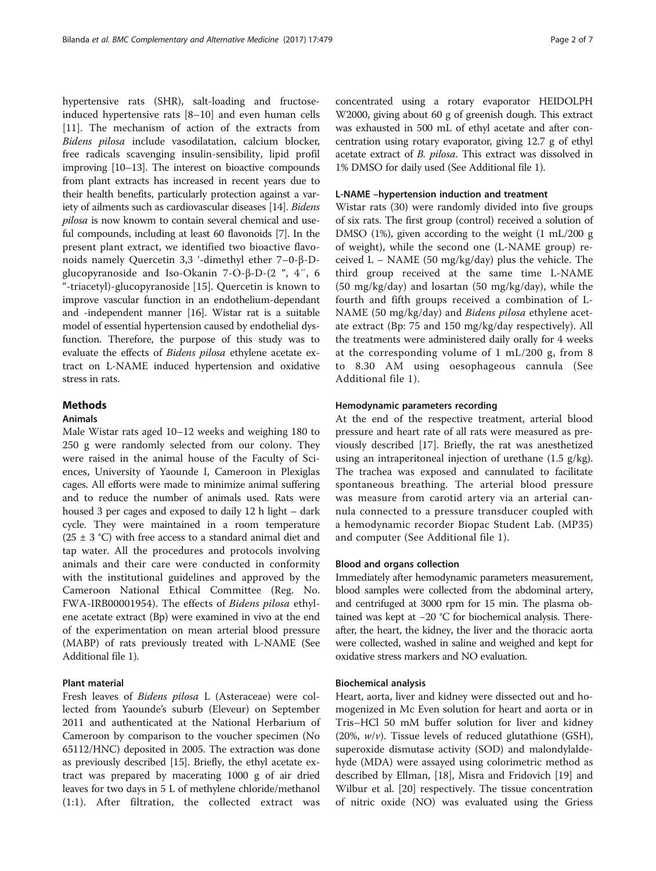hypertensive rats (SHR), salt-loading and fructoseinduced hypertensive rats [[8](#page-6-0)–[10](#page-6-0)] and even human cells [[11\]](#page-6-0). The mechanism of action of the extracts from Bidens pilosa include vasodilatation, calcium blocker, free radicals scavenging insulin-sensibility, lipid profil improving [\[10](#page-6-0)–[13](#page-6-0)]. The interest on bioactive compounds from plant extracts has increased in recent years due to their health benefits, particularly protection against a variety of ailments such as cardiovascular diseases [\[14\]](#page-6-0). Bidens pilosa is now knowm to contain several chemical and useful compounds, including at least 60 flavonoids [\[7\]](#page-6-0). In the present plant extract, we identified two bioactive flavonoids namely Quercetin 3,3 '-dimethyl ether 7–0-β-Dglucopyranoside and Iso-Okanin 7-O-β-D-(2 ", 4″, 6 "-triacetyl)-glucopyranoside [\[15](#page-6-0)]. Quercetin is known to improve vascular function in an endothelium-dependant and -independent manner [\[16\]](#page-6-0). Wistar rat is a suitable model of essential hypertension caused by endothelial dysfunction. Therefore, the purpose of this study was to evaluate the effects of Bidens pilosa ethylene acetate extract on L-NAME induced hypertension and oxidative stress in rats.

# **Methods**

#### Animals

Male Wistar rats aged 10–12 weeks and weighing 180 to 250 g were randomly selected from our colony. They were raised in the animal house of the Faculty of Sciences, University of Yaounde I, Cameroon in Plexiglas cages. All efforts were made to minimize animal suffering and to reduce the number of animals used. Rats were housed 3 per cages and exposed to daily 12 h light – dark cycle. They were maintained in a room temperature  $(25 \pm 3 \degree C)$  with free access to a standard animal diet and tap water. All the procedures and protocols involving animals and their care were conducted in conformity with the institutional guidelines and approved by the Cameroon National Ethical Committee (Reg. No. FWA-IRB00001954). The effects of Bidens pilosa ethylene acetate extract (Bp) were examined in vivo at the end of the experimentation on mean arterial blood pressure (MABP) of rats previously treated with L-NAME (See Additional file [1](#page-5-0)).

# Plant material

Fresh leaves of Bidens pilosa L (Asteraceae) were collected from Yaounde's suburb (Eleveur) on September 2011 and authenticated at the National Herbarium of Cameroon by comparison to the voucher specimen (No 65112/HNC) deposited in 2005. The extraction was done as previously described [\[15](#page-6-0)]. Briefly, the ethyl acetate extract was prepared by macerating 1000 g of air dried leaves for two days in 5 L of methylene chloride/methanol (1:1). After filtration, the collected extract was

concentrated using a rotary evaporator HEIDOLPH W2000, giving about 60 g of greenish dough. This extract was exhausted in 500 mL of ethyl acetate and after concentration using rotary evaporator, giving 12.7 g of ethyl acetate extract of B. pilosa. This extract was dissolved in 1% DMSO for daily used (See Additional file [1](#page-5-0)).

#### L-NAME –hypertension induction and treatment

Wistar rats (30) were randomly divided into five groups of six rats. The first group (control) received a solution of DMSO (1%), given according to the weight (1 mL/200 g of weight), while the second one (L-NAME group) received  $L - NAME$  (50 mg/kg/day) plus the vehicle. The third group received at the same time L-NAME (50 mg/kg/day) and losartan (50 mg/kg/day), while the fourth and fifth groups received a combination of L-NAME (50 mg/kg/day) and Bidens pilosa ethylene acetate extract (Bp: 75 and 150 mg/kg/day respectively). All the treatments were administered daily orally for 4 weeks at the corresponding volume of 1 mL/200 g, from 8 to 8.30 AM using oesophageous cannula (See Additional file [1\)](#page-5-0).

#### Hemodynamic parameters recording

At the end of the respective treatment, arterial blood pressure and heart rate of all rats were measured as previously described [[17](#page-6-0)]. Briefly, the rat was anesthetized using an intraperitoneal injection of urethane  $(1.5 \text{ g/kg})$ . The trachea was exposed and cannulated to facilitate spontaneous breathing. The arterial blood pressure was measure from carotid artery via an arterial cannula connected to a pressure transducer coupled with a hemodynamic recorder Biopac Student Lab. (MP35) and computer (See Additional file 1).

# Blood and organs collection

Immediately after hemodynamic parameters measurement, blood samples were collected from the abdominal artery, and centrifuged at 3000 rpm for 15 min. The plasma obtained was kept at −20 °C for biochemical analysis. Thereafter, the heart, the kidney, the liver and the thoracic aorta were collected, washed in saline and weighed and kept for oxidative stress markers and NO evaluation.

#### Biochemical analysis

Heart, aorta, liver and kidney were dissected out and homogenized in Mc Even solution for heart and aorta or in Tris–HCl 50 mM buffer solution for liver and kidney (20%,  $w/v$ ). Tissue levels of reduced glutathione (GSH), superoxide dismutase activity (SOD) and malondylaldehyde (MDA) were assayed using colorimetric method as described by Ellman, [[18](#page-6-0)], Misra and Fridovich [\[19\]](#page-6-0) and Wilbur et al. [[20\]](#page-6-0) respectively. The tissue concentration of nitric oxide (NO) was evaluated using the Griess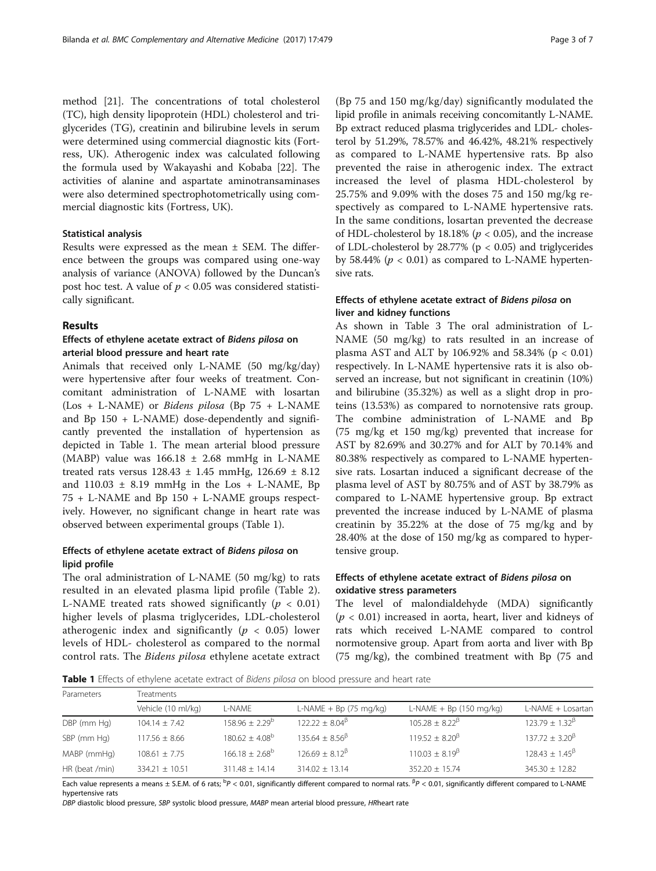method [\[21](#page-6-0)]. The concentrations of total cholesterol (TC), high density lipoprotein (HDL) cholesterol and triglycerides (TG), creatinin and bilirubine levels in serum were determined using commercial diagnostic kits (Fortress, UK). Atherogenic index was calculated following the formula used by Wakayashi and Kobaba [[22\]](#page-6-0). The activities of alanine and aspartate aminotransaminases were also determined spectrophotometrically using commercial diagnostic kits (Fortress, UK).

## Statistical analysis

Results were expressed as the mean ± SEM. The difference between the groups was compared using one-way analysis of variance (ANOVA) followed by the Duncan's post hoc test. A value of  $p < 0.05$  was considered statistically significant.

## Results

# Effects of ethylene acetate extract of Bidens pilosa on arterial blood pressure and heart rate

Animals that received only L-NAME (50 mg/kg/day) were hypertensive after four weeks of treatment. Concomitant administration of L-NAME with losartan (Los + L-NAME) or Bidens pilosa (Bp 75 + L-NAME and Bp 150 + L-NAME) dose-dependently and significantly prevented the installation of hypertension as depicted in Table 1. The mean arterial blood pressure (MABP) value was  $166.18 \pm 2.68$  mmHg in L-NAME treated rats versus  $128.43 \pm 1.45$  mmHg,  $126.69 \pm 8.12$ and  $110.03 \pm 8.19$  mmHg in the Los + L-NAME, Bp 75 + L-NAME and Bp 150 + L-NAME groups respectively. However, no significant change in heart rate was observed between experimental groups (Table 1).

# Effects of ethylene acetate extract of Bidens pilosa on lipid profile

The oral administration of L-NAME (50 mg/kg) to rats resulted in an elevated plasma lipid profile (Table [2](#page-3-0)). L-NAME treated rats showed significantly ( $p < 0.01$ ) higher levels of plasma triglycerides, LDL-cholesterol atherogenic index and significantly ( $p < 0.05$ ) lower levels of HDL- cholesterol as compared to the normal control rats. The *Bidens pilosa* ethylene acetate extract

(Bp 75 and 150 mg/kg/day) significantly modulated the lipid profile in animals receiving concomitantly L-NAME. Bp extract reduced plasma triglycerides and LDL- cholesterol by 51.29%, 78.57% and 46.42%, 48.21% respectively as compared to L-NAME hypertensive rats. Bp also prevented the raise in atherogenic index. The extract increased the level of plasma HDL-cholesterol by 25.75% and 9.09% with the doses 75 and 150 mg/kg respectively as compared to L-NAME hypertensive rats. In the same conditions, losartan prevented the decrease of HDL-cholesterol by 18.18% ( $p < 0.05$ ), and the increase of LDL-cholesterol by 28.77% (p < 0.05) and triglycerides by 58.44% ( $p < 0.01$ ) as compared to L-NAME hypertensive rats.

# Effects of ethylene acetate extract of Bidens pilosa on liver and kidney functions

As shown in Table [3](#page-3-0) The oral administration of L-NAME (50 mg/kg) to rats resulted in an increase of plasma AST and ALT by 106.92% and 58.34% ( $p < 0.01$ ) respectively. In L-NAME hypertensive rats it is also observed an increase, but not significant in creatinin (10%) and bilirubine (35.32%) as well as a slight drop in proteins (13.53%) as compared to nornotensive rats group. The combine administration of L-NAME and Bp (75 mg/kg et 150 mg/kg) prevented that increase for AST by 82.69% and 30.27% and for ALT by 70.14% and 80.38% respectively as compared to L-NAME hypertensive rats. Losartan induced a significant decrease of the plasma level of AST by 80.75% and of AST by 38.79% as compared to L-NAME hypertensive group. Bp extract prevented the increase induced by L-NAME of plasma creatinin by 35.22% at the dose of 75 mg/kg and by 28.40% at the dose of 150 mg/kg as compared to hypertensive group.

# Effects of ethylene acetate extract of Bidens pilosa on oxidative stress parameters

The level of malondialdehyde (MDA) significantly  $(p < 0.01)$  increased in aorta, heart, liver and kidneys of rats which received L-NAME compared to control normotensive group. Apart from aorta and liver with Bp (75 mg/kg), the combined treatment with Bp (75 and

Table 1 Effects of ethylene acetate extract of Bidens pilosa on blood pressure and heart rate

| Parameters     | Treatments         |                                |                           |                           |                           |  |  |
|----------------|--------------------|--------------------------------|---------------------------|---------------------------|---------------------------|--|--|
|                | Vehicle (10 ml/kg) | L-NAME                         | $L-NAME + Bp (75 mg/kg)$  | $L-NAME + Bp(150 mg/kg)$  | L-NAME + Losartan         |  |  |
| DBP (mm Hg)    | $104.14 + 7.42$    | $158.96 + 2.29^{\circ}$        | $122.22 \pm 8.04^{\beta}$ | $105.28 \pm 8.22^{\beta}$ | $123.79 \pm 1.32^{\beta}$ |  |  |
| SBP (mm Hg)    | $117.56 \pm 8.66$  | $180.62 + 4.08^b$              | $135.64 + 8.56^{\beta}$   | $119.52 + 8.20^{\beta}$   | $137.72 \pm 3.20^{\beta}$ |  |  |
| MABP (mmHg)    | $108.61 + 7.75$    | $166.18 \pm 2.68$ <sup>b</sup> | $126.69 \pm 8.12^{\beta}$ | $110.03 + 8.19^{\beta}$   | $128.43 + 1.45^{\beta}$   |  |  |
| HR (beat /min) | $334.21 + 10.51$   | $311.48 \pm 14.14$             | $314.02 + 13.14$          | $352.20 + 15.74$          | $345.30 \pm 12.82$        |  |  |

Each value represents a means ± S.E.M. of 6 rats;  $^{\text{b}}P$  < 0.01, significantly different compared to normal rats.  $^{\text{b}}P$  < 0.01, significantly different compared to L-NAME hypertensive rats

DBP diastolic blood pressure, SBP systolic blood pressure, MABP mean arterial blood pressure, HRheart rate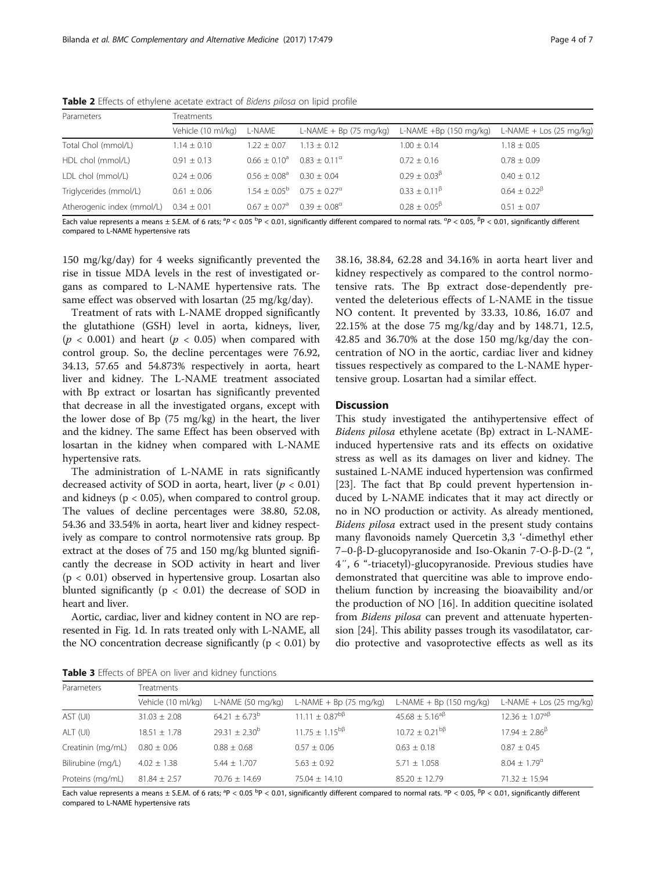| Parameters                 | <b>TWATE</b> ENCERT OF CHIPICITY ACCRES CARACTER DIMENSIONAL ON MOTOR PROMISE<br>Treatments |                              |                          |                          |                           |  |  |
|----------------------------|---------------------------------------------------------------------------------------------|------------------------------|--------------------------|--------------------------|---------------------------|--|--|
|                            | Vehicle (10 ml/kg)                                                                          | L-NAME                       | $L-NAME + Bp (75 mg/kg)$ | $L-NAME + Bp(150 mg/kg)$ | $L-NAME + Los (25 mg/kg)$ |  |  |
| Total Chol (mmol/L)        | $1.14 + 0.10$                                                                               | $1.22 + 0.07$                | $1.13 + 0.12$            | $1.00 + 0.14$            | $1.18 \pm 0.05$           |  |  |
| HDL chol (mmol/L)          | $0.91 \pm 0.13$                                                                             | $0.66 + 0.10a$               | $0.83 + 0.11^{\circ}$    | $0.72 \pm 0.16$          | $0.78 \pm 0.09$           |  |  |
| LDL chol (mmol/L)          | $0.24 \pm 0.06$                                                                             | $0.56 + 0.08$ <sup>a</sup>   | $0.30 + 0.04$            | $0.29 \pm 0.03^{\beta}$  | $0.40 \pm 0.12$           |  |  |
| Triglycerides (mmol/L)     | $0.61 \pm 0.06$                                                                             | $1.54 + 0.05^{\circ}$        | $0.75 + 0.27^{\alpha}$   | $0.33 \pm 0.11^{\beta}$  | $0.64 \pm 0.22^{\beta}$   |  |  |
| Atherogenic index (mmol/L) | $0.34 \pm 0.01$                                                                             | $0.67 \pm 0.07$ <sup>a</sup> | $0.39 + 0.08^{\circ}$    | $0.28 \pm 0.05^{\beta}$  | $0.51 \pm 0.07$           |  |  |

<span id="page-3-0"></span>Table 2 Effects of ethylene acetate extract of Bidens pilosa on lipid profile

Each value represents a means ± S.E.M. of 6 rats; <sup>a</sup>P < 0.05 <sup>b</sup>P < 0.01, significantly different compared to normal rats. <sup>a</sup>P < 0.05, <sup>β</sup>P < 0.01, significantly different compared to L-NAME hypertensive rats

150 mg/kg/day) for 4 weeks significantly prevented the rise in tissue MDA levels in the rest of investigated organs as compared to L-NAME hypertensive rats. The same effect was observed with losartan (25 mg/kg/day).

Treatment of rats with L-NAME dropped significantly the glutathione (GSH) level in aorta, kidneys, liver, ( $p < 0.001$ ) and heart ( $p < 0.05$ ) when compared with control group. So, the decline percentages were 76.92, 34.13, 57.65 and 54.873% respectively in aorta, heart liver and kidney. The L-NAME treatment associated with Bp extract or losartan has significantly prevented that decrease in all the investigated organs, except with the lower dose of Bp (75 mg/kg) in the heart, the liver and the kidney. The same Effect has been observed with losartan in the kidney when compared with L-NAME hypertensive rats.

The administration of L-NAME in rats significantly decreased activity of SOD in aorta, heart, liver ( $p < 0.01$ ) and kidneys ( $p < 0.05$ ), when compared to control group. The values of decline percentages were 38.80, 52.08, 54.36 and 33.54% in aorta, heart liver and kidney respectively as compare to control normotensive rats group. Bp extract at the doses of 75 and 150 mg/kg blunted significantly the decrease in SOD activity in heart and liver  $(p < 0.01)$  observed in hypertensive group. Losartan also blunted significantly  $(p < 0.01)$  the decrease of SOD in heart and liver.

Aortic, cardiac, liver and kidney content in NO are represented in Fig. [1d.](#page-4-0) In rats treated only with L-NAME, all the NO concentration decrease significantly ( $p < 0.01$ ) by

38.16, 38.84, 62.28 and 34.16% in aorta heart liver and kidney respectively as compared to the control normotensive rats. The Bp extract dose-dependently prevented the deleterious effects of L-NAME in the tissue NO content. It prevented by 33.33, 10.86, 16.07 and 22.15% at the dose 75 mg/kg/day and by 148.71, 12.5, 42.85 and 36.70% at the dose 150 mg/kg/day the concentration of NO in the aortic, cardiac liver and kidney tissues respectively as compared to the L-NAME hypertensive group. Losartan had a similar effect.

## **Discussion**

This study investigated the antihypertensive effect of Bidens pilosa ethylene acetate (Bp) extract in L-NAMEinduced hypertensive rats and its effects on oxidative stress as well as its damages on liver and kidney. The sustained L-NAME induced hypertension was confirmed [[23\]](#page-6-0). The fact that Bp could prevent hypertension induced by L-NAME indicates that it may act directly or no in NO production or activity. As already mentioned, Bidens pilosa extract used in the present study contains many flavonoids namely Quercetin 3,3 '-dimethyl ether 7–0-β-D-glucopyranoside and Iso-Okanin 7-O-β-D-(2 ", 4″, 6 "-triacetyl)-glucopyranoside. Previous studies have demonstrated that quercitine was able to improve endothelium function by increasing the bioavaibility and/or the production of NO [[16\]](#page-6-0). In addition quecitine isolated from Bidens pilosa can prevent and attenuate hypertension [[24\]](#page-6-0). This ability passes trough its vasodilatator, cardio protective and vasoprotective effects as well as its

Table 3 Effects of BPEA on liver and kidney functions

| Parameters        | Treatments         |                      |                                                  |                           |                           |  |  |
|-------------------|--------------------|----------------------|--------------------------------------------------|---------------------------|---------------------------|--|--|
|                   | Vehicle (10 ml/kg) | L-NAME (50 mg/kg)    | $L-NAME + Bp (75 mg/kg)$                         | $L-NAME + Bp(150 mg/kg)$  | $L-NAME + Los (25 mg/kg)$ |  |  |
| AST (UI)          | $31.03 \pm 2.08$   | $64.21 + 6.73^b$     | $11.11 + 0.87^{b}$                               | $45.68 \pm 5.16^{a\beta}$ | $12.36 \pm 1.07^{a\beta}$ |  |  |
| ALT (UI)          | $18.51 \pm 1.78$   | $29.31 \pm 2.30^{b}$ | $11.75 + 1.15^{b}$ <sup><math>\beta</math></sup> | $10.72 + 0.21^{b}$        | $17.94 \pm 2.86^{\beta}$  |  |  |
| Creatinin (mg/mL) | $0.80 \pm 0.06$    | $0.88 \pm 0.68$      | $0.57 + 0.06$                                    | $0.63 \pm 0.18$           | $0.87 \pm 0.45$           |  |  |
| Bilirubine (mg/L) | $4.02 \pm 1.38$    | $5.44 + 1.707$       | $5.63 \pm 0.92$                                  | $5.71 \pm 1.058$          | $8.04 + 1.79^{\circ}$     |  |  |
| Proteins (mg/mL)  | $81.84 \pm 2.57$   | $70.76 \pm 14.69$    | $75.04 \pm 14.10$                                | $85.20 \pm 12.79$         | $71.32 \pm 15.94$         |  |  |

Each value represents a means ± S.E.M. of 6 rats; <sup>a</sup>P < 0.05 <sup>b</sup>P < 0.01, significantly different compared to normal rats. <sup>a</sup>P < 0.05, <sup>β</sup>P < 0.01, significantly different compared to L-NAME hypertensive rats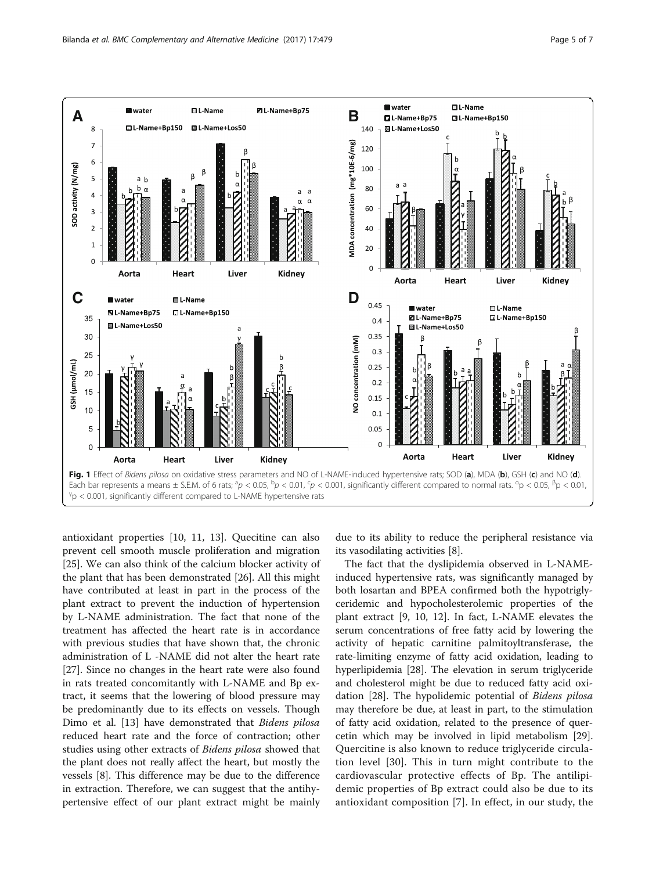<span id="page-4-0"></span>

antioxidant properties [\[10, 11, 13](#page-6-0)]. Quecitine can also prevent cell smooth muscle proliferation and migration [[25\]](#page-6-0). We can also think of the calcium blocker activity of the plant that has been demonstrated [[26\]](#page-6-0). All this might have contributed at least in part in the process of the plant extract to prevent the induction of hypertension by L-NAME administration. The fact that none of the treatment has affected the heart rate is in accordance with previous studies that have shown that, the chronic administration of L -NAME did not alter the heart rate [[27\]](#page-6-0). Since no changes in the heart rate were also found in rats treated concomitantly with L-NAME and Bp extract, it seems that the lowering of blood pressure may be predominantly due to its effects on vessels. Though Dimo et al. [\[13](#page-6-0)] have demonstrated that Bidens pilosa reduced heart rate and the force of contraction; other studies using other extracts of Bidens pilosa showed that the plant does not really affect the heart, but mostly the vessels [[8\]](#page-6-0). This difference may be due to the difference in extraction. Therefore, we can suggest that the antihypertensive effect of our plant extract might be mainly

due to its ability to reduce the peripheral resistance via its vasodilating activities [\[8](#page-6-0)].

The fact that the dyslipidemia observed in L-NAMEinduced hypertensive rats, was significantly managed by both losartan and BPEA confirmed both the hypotriglyceridemic and hypocholesterolemic properties of the plant extract [\[9](#page-6-0), [10, 12\]](#page-6-0). In fact, L-NAME elevates the serum concentrations of free fatty acid by lowering the activity of hepatic carnitine palmitoyltransferase, the rate-limiting enzyme of fatty acid oxidation, leading to hyperlipidemia [\[28](#page-6-0)]. The elevation in serum triglyceride and cholesterol might be due to reduced fatty acid oxi-dation [[28\]](#page-6-0). The hypolidemic potential of Bidens pilosa may therefore be due, at least in part, to the stimulation of fatty acid oxidation, related to the presence of quercetin which may be involved in lipid metabolism [\[29](#page-6-0)]. Quercitine is also known to reduce triglyceride circulation level [[30\]](#page-6-0). This in turn might contribute to the cardiovascular protective effects of Bp. The antilipidemic properties of Bp extract could also be due to its antioxidant composition [\[7](#page-6-0)]. In effect, in our study, the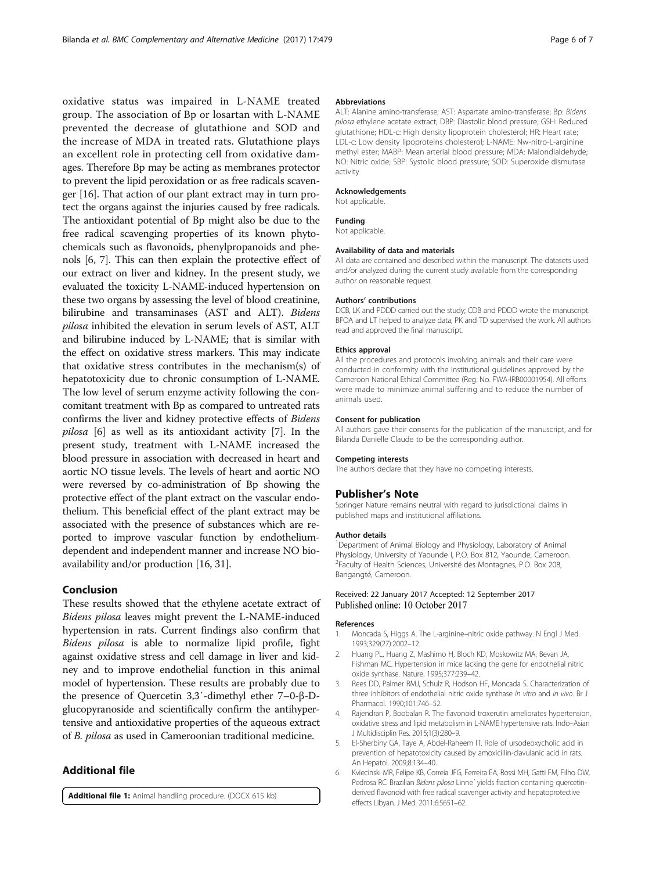<span id="page-5-0"></span>oxidative status was impaired in L-NAME treated group. The association of Bp or losartan with L-NAME prevented the decrease of glutathione and SOD and the increase of MDA in treated rats. Glutathione plays an excellent role in protecting cell from oxidative damages. Therefore Bp may be acting as membranes protector to prevent the lipid peroxidation or as free radicals scavenger [\[16\]](#page-6-0). That action of our plant extract may in turn protect the organs against the injuries caused by free radicals. The antioxidant potential of Bp might also be due to the free radical scavenging properties of its known phytochemicals such as flavonoids, phenylpropanoids and phenols [6, [7](#page-6-0)]. This can then explain the protective effect of our extract on liver and kidney. In the present study, we evaluated the toxicity L-NAME-induced hypertension on these two organs by assessing the level of blood creatinine, bilirubine and transaminases (AST and ALT). Bidens pilosa inhibited the elevation in serum levels of AST, ALT and bilirubine induced by L-NAME; that is similar with the effect on oxidative stress markers. This may indicate that oxidative stress contributes in the mechanism(s) of hepatotoxicity due to chronic consumption of L-NAME. The low level of serum enzyme activity following the concomitant treatment with Bp as compared to untreated rats confirms the liver and kidney protective effects of Bidens pilosa [6] as well as its antioxidant activity [\[7](#page-6-0)]. In the present study, treatment with L-NAME increased the blood pressure in association with decreased in heart and aortic NO tissue levels. The levels of heart and aortic NO were reversed by co-administration of Bp showing the protective effect of the plant extract on the vascular endothelium. This beneficial effect of the plant extract may be associated with the presence of substances which are reported to improve vascular function by endotheliumdependent and independent manner and increase NO bioavailability and/or production [[16](#page-6-0), [31\]](#page-6-0).

# Conclusion

These results showed that the ethylene acetate extract of Bidens pilosa leaves might prevent the L-NAME-induced hypertension in rats. Current findings also confirm that Bidens pilosa is able to normalize lipid profile, fight against oxidative stress and cell damage in liver and kidney and to improve endothelial function in this animal model of hypertension. These results are probably due to the presence of Quercetin 3,3′-dimethyl ether 7–0-β-Dglucopyranoside and scientifically confirm the antihypertensive and antioxidative properties of the aqueous extract of B. pilosa as used in Cameroonian traditional medicine.

# Additional file

[Additional file 1:](dx.doi.org/10.1186/s12906-017-1972-0) Animal handling procedure. (DOCX 615 kb)

#### Abbreviations

ALT: Alanine amino-transferase; AST: Aspartate amino-transferase; Bp: Bidens pilosa ethylene acetate extract; DBP: Diastolic blood pressure; GSH: Reduced glutathione; HDL-c: High density lipoprotein cholesterol; HR: Heart rate; LDL-c: Low density lipoproteins cholesterol; L-NAME: Nw-nitro-L-arginine methyl ester; MABP: Mean arterial blood pressure; MDA: Malondialdehyde; NO: Nitric oxide; SBP: Systolic blood pressure; SOD: Superoxide dismutase activity

#### Acknowledgements

Not applicable

Funding

Not applicable.

#### Availability of data and materials

All data are contained and described within the manuscript. The datasets used and/or analyzed during the current study available from the corresponding author on reasonable request.

#### Authors' contributions

DCB, LK and PDDD carried out the study; CDB and PDDD wrote the manuscript. BFOA and LT helped to analyze data, PK and TD supervised the work. All authors read and approved the final manuscript.

#### Ethics approval

All the procedures and protocols involving animals and their care were conducted in conformity with the institutional guidelines approved by the Cameroon National Ethical Committee (Reg. No. FWA-IRB00001954). All efforts were made to minimize animal suffering and to reduce the number of animals used.

#### Consent for publication

All authors gave their consents for the publication of the manuscript, and for Bilanda Danielle Claude to be the corresponding author.

#### Competing interests

The authors declare that they have no competing interests.

#### Publisher's Note

Springer Nature remains neutral with regard to jurisdictional claims in published maps and institutional affiliations.

#### Author details

<sup>1</sup>Department of Animal Biology and Physiology, Laboratory of Animal Physiology, University of Yaounde I, P.O. Box 812, Yaounde, Cameroon. 2 Faculty of Health Sciences, Université des Montagnes, P.O. Box 208, Bangangté, Cameroon.

#### Received: 22 January 2017 Accepted: 12 September 2017 Published online: 10 October 2017

#### References

- 1. Moncada S, Higgs A. The L-arginine–nitric oxide pathway. N Engl J Med. 1993;329(27):2002–12.
- 2. Huang PL, Huang Z, Mashimo H, Bloch KD, Moskowitz MA, Bevan JA, Fishman MC. Hypertension in mice lacking the gene for endothelial nitric oxide synthase. Nature. 1995;377:239–42.
- 3. Rees DD, Palmer RMJ, Schulz R, Hodson HF, Moncada S. Characterization of three inhibitors of endothelial nitric oxide synthase in vitro and in vivo. Br J Pharmacol. 1990;101:746–52.
- Rajendran P, Boobalan R. The flavonoid troxerutin ameliorates hypertension, oxidative stress and lipid metabolism in L-NAME hypertensive rats. Indo–Asian J Multidisciplin Res. 2015;1(3):280–9.
- 5. El-Sherbiny GA, Taye A, Abdel-Raheem IT. Role of ursodeoxycholic acid in prevention of hepatotoxicity caused by amoxicillin-clavulanic acid in rats. An Hepatol. 2009;8:134–40.
- 6. Kviecinski MR, Felipe KB, Correia JFG, Ferreira EA, Rossi MH, Gatti FM, Filho DW, Pedrosa RC. Brazilian Bidens pilosa Linne' yields fraction containing quercetinderived flavonoid with free radical scavenger activity and hepatoprotective effects Libyan. J Med. 2011;6:5651–62.